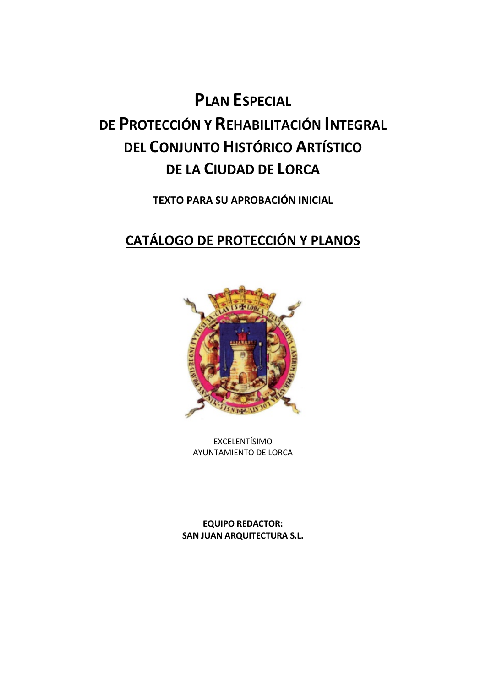**TEXTO PARA SU APROBACIÓN INICIAL**

### **CATÁLOGO DE PROTECCIÓN Y PLANOS**



EXCELENTÍSIMO AYUNTAMIENTO DE LORCA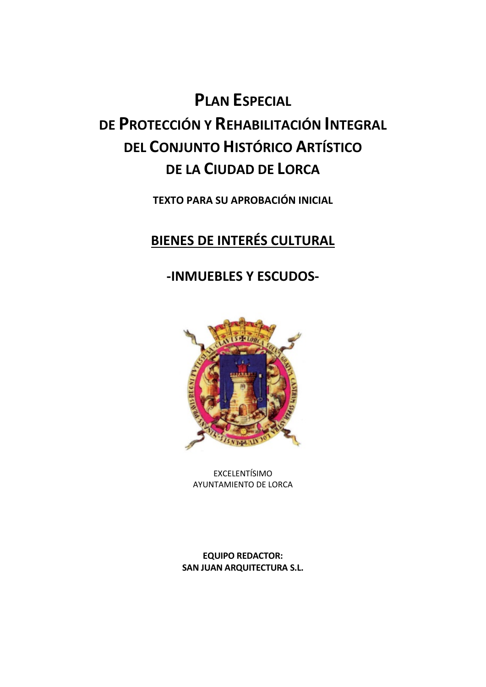**TEXTO PARA SU APROBACIÓN INICIAL**

### **BIENES DE INTERÉS CULTURAL**

#### **-INMUEBLES Y ESCUDOS-**



EXCELENTÍSIMO AYUNTAMIENTO DE LORCA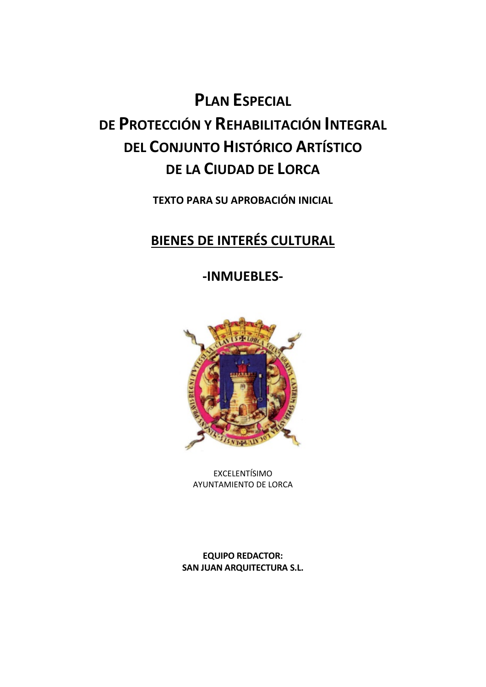**TEXTO PARA SU APROBACIÓN INICIAL**

### **BIENES DE INTERÉS CULTURAL**

**-INMUEBLES-**



EXCELENTÍSIMO AYUNTAMIENTO DE LORCA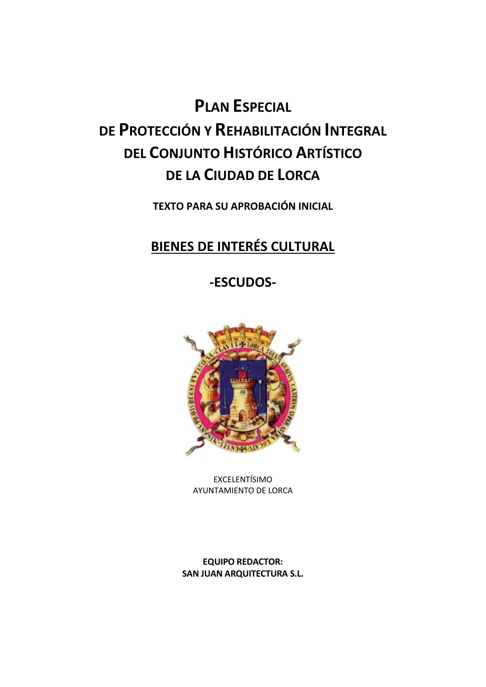**TEXTO PARA SU APROBACIÓN INICIAL**

### **BIENES DE INTERÉS CULTURAL**

**-ESCUDOS-**



EXCELENTÍSIMO AYUNTAMIENTO DE LORCA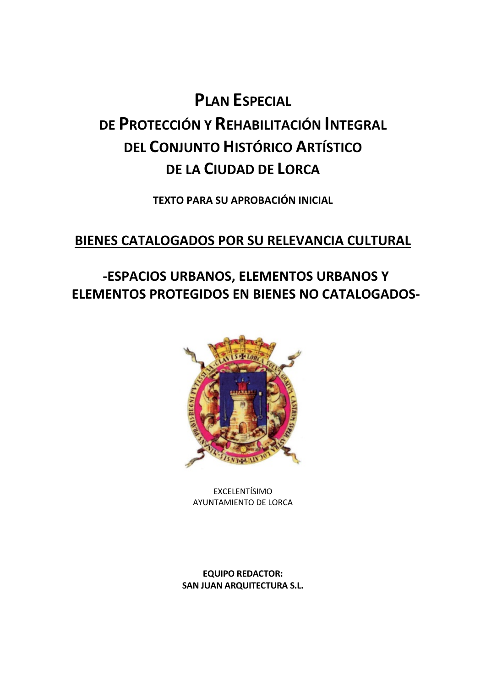**TEXTO PARA SU APROBACIÓN INICIAL**

#### **BIENES CATALOGADOS POR SU RELEVANCIA CULTURAL**

### **-ESPACIOS URBANOS, ELEMENTOS URBANOS Y ELEMENTOS PROTEGIDOS EN BIENES NO CATALOGADOS-**



EXCELENTÍSIMO AYUNTAMIENTO DE LORCA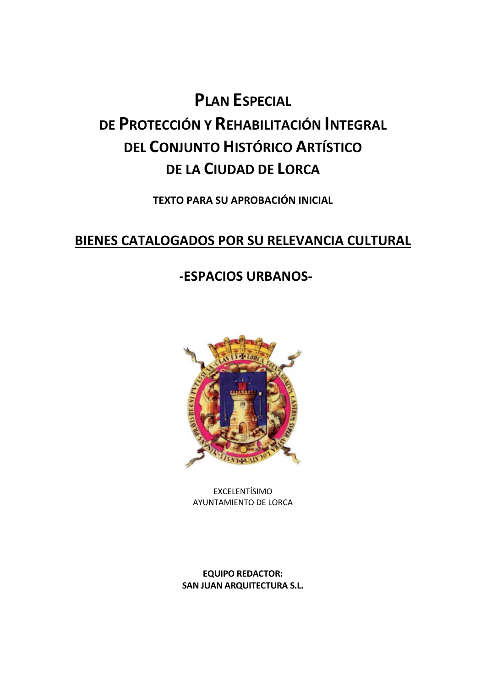**TEXTO PARA SU APROBACIÓN INICIAL**

#### **BIENES CATALOGADOS POR SU RELEVANCIA CULTURAL**

#### **-ESPACIOS URBANOS-**



EXCELENTÍSIMO AYUNTAMIENTO DE LORCA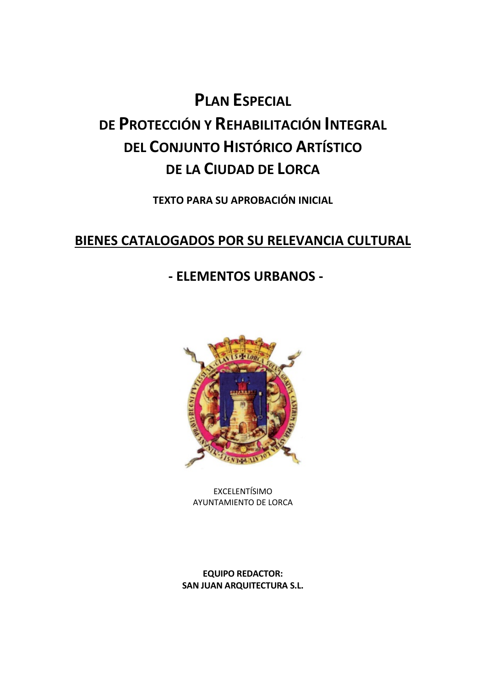**TEXTO PARA SU APROBACIÓN INICIAL**

#### **BIENES CATALOGADOS POR SU RELEVANCIA CULTURAL**

#### **- ELEMENTOS URBANOS -**



EXCELENTÍSIMO AYUNTAMIENTO DE LORCA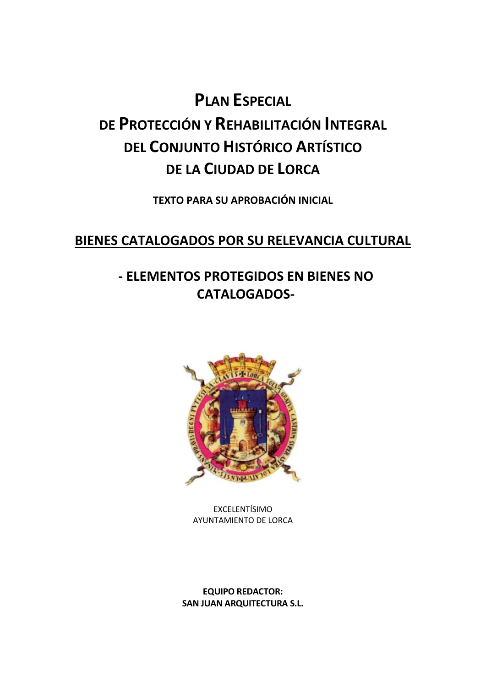**TEXTO PARA SU APROBACIÓN INICIAL**

#### **BIENES CATALOGADOS POR SU RELEVANCIA CULTURAL**

### **- ELEMENTOS PROTEGIDOS EN BIENES NO CATALOGADOS-**



EXCELENTÍSIMO AYUNTAMIENTO DE LORCA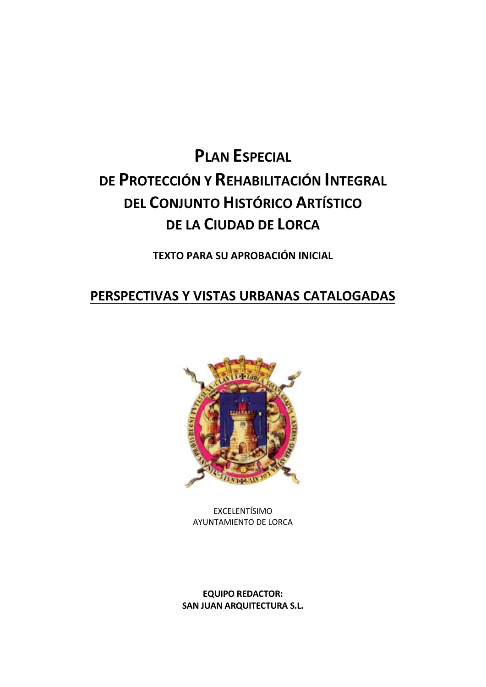**TEXTO PARA SU APROBACIÓN INICIAL**

#### **PERSPECTIVAS Y VISTAS URBANAS CATALOGADAS**



EXCELENTÍSIMO AYUNTAMIENTO DE LORCA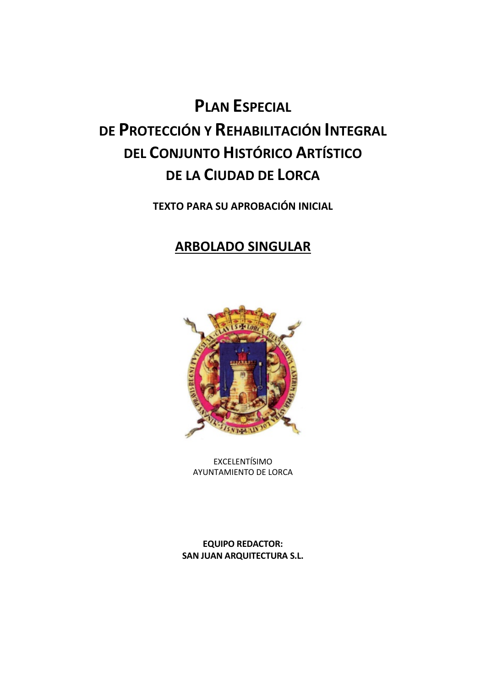**TEXTO PARA SU APROBACIÓN INICIAL**

#### **ARBOLADO SINGULAR**



EXCELENTÍSIMO AYUNTAMIENTO DE LORCA